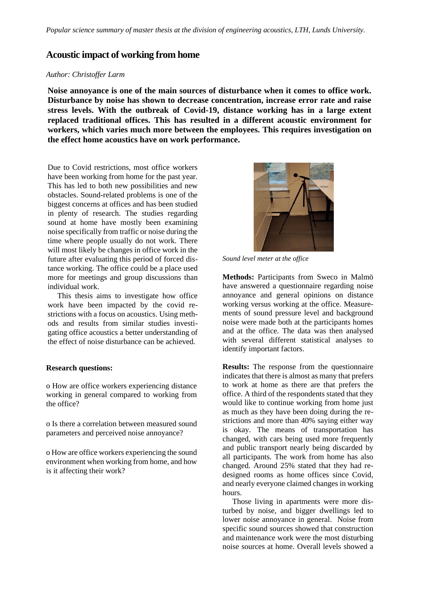## **Acoustic impact of working from home**

## *Author: Christoffer Larm*

**Noise annoyance is one of the main sources of disturbance when it comes to office work. Disturbance by noise has shown to decrease concentration, increase error rate and raise stress levels. With the outbreak of Covid-19, distance working has in a large extent replaced traditional offices. This has resulted in a different acoustic environment for workers, which varies much more between the employees. This requires investigation on the effect home acoustics have on work performance.**

Due to Covid restrictions, most office workers have been working from home for the past year. This has led to both new possibilities and new obstacles. Sound-related problems is one of the biggest concerns at offices and has been studied in plenty of research. The studies regarding sound at home have mostly been examining noise specifically from traffic or noise during the time where people usually do not work. There will most likely be changes in office work in the future after evaluating this period of forced distance working. The office could be a place used more for meetings and group discussions than individual work.

 This thesis aims to investigate how office work have been impacted by the covid restrictions with a focus on acoustics. Using methods and results from similar studies investigating office acoustics a better understanding of the effect of noise disturbance can be achieved.

## **Research questions:**

o How are office workers experiencing distance working in general compared to working from the office?

o Is there a correlation between measured sound parameters and perceived noise annoyance?

o How are office workers experiencing the sound environment when working from home, and how is it affecting their work?



*Sound level meter at the office*

**Methods:** Participants from Sweco in Malmö have answered a questionnaire regarding noise annoyance and general opinions on distance working versus working at the office. Measurements of sound pressure level and background noise were made both at the participants homes and at the office. The data was then analysed with several different statistical analyses to identify important factors.

**Results:** The response from the questionnaire indicates that there is almost as many that prefers to work at home as there are that prefers the office. A third of the respondents stated that they would like to continue working from home just as much as they have been doing during the restrictions and more than 40% saying either way is okay. The means of transportation has changed, with cars being used more frequently and public transport nearly being discarded by all participants. The work from home has also changed. Around 25% stated that they had redesigned rooms as home offices since Covid, and nearly everyone claimed changes in working hours.

 Those living in apartments were more disturbed by noise, and bigger dwellings led to lower noise annoyance in general. Noise from specific sound sources showed that construction and maintenance work were the most disturbing noise sources at home. Overall levels showed a